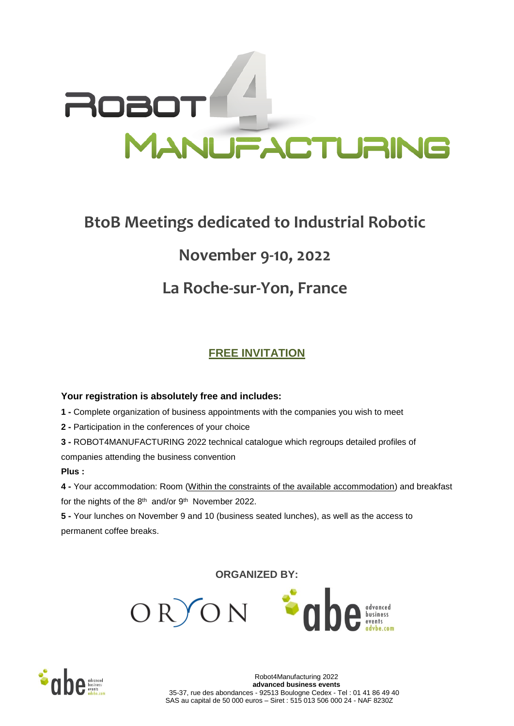# **FACTURING**

# **BtoB Meetings dedicated to Industrial Robotic**

# **November 9-10, 2022**

## **La Roche-sur-Yon, France**

## **FREE INVITATION**

#### **Your registration is absolutely free and includes:**

**1 -** Complete organization of business appointments with the companies you wish to meet

**2 -** Participation in the conferences of your choice

**3 -** ROBOT4MANUFACTURING 2022 technical catalogue which regroups detailed profiles of companies attending the business convention

#### **Plus :**

**4 -** Your accommodation: Room (Within the constraints of the available accommodation) and breakfast for the nights of the  $8<sup>th</sup>$  and/or  $9<sup>th</sup>$  November 2022.

**5 -** Your lunches on November 9 and 10 (business seated lunches), as well as the access to permanent coffee breaks.

**ORGANIZED BY:**



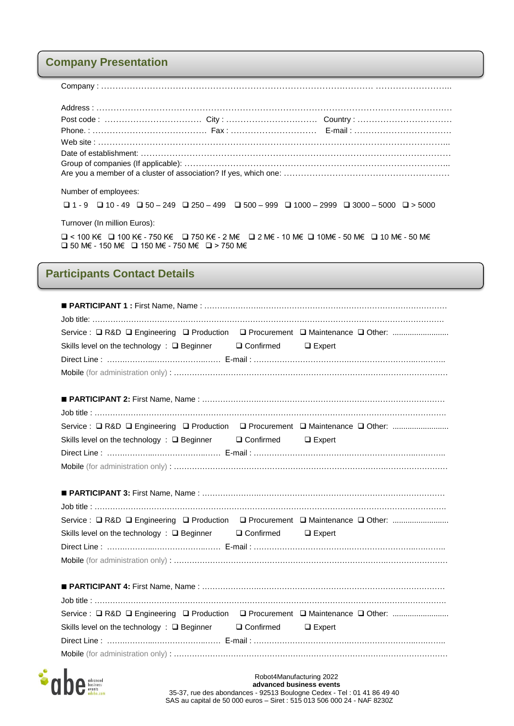#### **Company Presentation**

Company : ………………………………………………………………………….………. ……………………...

| Number of employees:         |                                                                                                                                   |  |  |  |  |
|------------------------------|-----------------------------------------------------------------------------------------------------------------------------------|--|--|--|--|
|                              | $\Box$ 1 - 9 $\Box$ 10 - 49 $\Box$ 50 - 249 $\Box$ 250 - 499 $\Box$ 500 - 999 $\Box$ 1000 - 2999 $\Box$ 3000 - 5000 $\Box$ > 5000 |  |  |  |  |
| Turnover (In million Euros): |                                                                                                                                   |  |  |  |  |

 < 100 K€ 100 K€ - 750 K€ 750 K€ - 2 M€ 2 M€ - 10 M€ 10M€ - 50 M€ 10 M€ - 50 M€ 50 M€ - 150 M€ 150 M€ - 750 M€ > 750 M€

#### **Participants Contact Details**

| Skills level on the technology : □ Beginner □ Confirmed □ Expert                         |  |
|------------------------------------------------------------------------------------------|--|
|                                                                                          |  |
|                                                                                          |  |
|                                                                                          |  |
|                                                                                          |  |
|                                                                                          |  |
|                                                                                          |  |
| Skills level on the technology : □ Beginner □ Confirmed □ Expert                         |  |
|                                                                                          |  |
|                                                                                          |  |
|                                                                                          |  |
|                                                                                          |  |
|                                                                                          |  |
|                                                                                          |  |
| Service : □ R&D □ Engineering □ Production □ Procurement □ Maintenance □ Other:          |  |
| Skills level on the technology : $\square$ Beginner $\square$ Confirmed $\square$ Expert |  |
|                                                                                          |  |
|                                                                                          |  |
|                                                                                          |  |
|                                                                                          |  |
|                                                                                          |  |
| Service : □ R&D □ Engineering □ Production □ Procurement □ Maintenance □ Other:          |  |
| Skills level on the technology : $\square$ Beginner $\square$ Confirmed $\square$ Expert |  |
|                                                                                          |  |

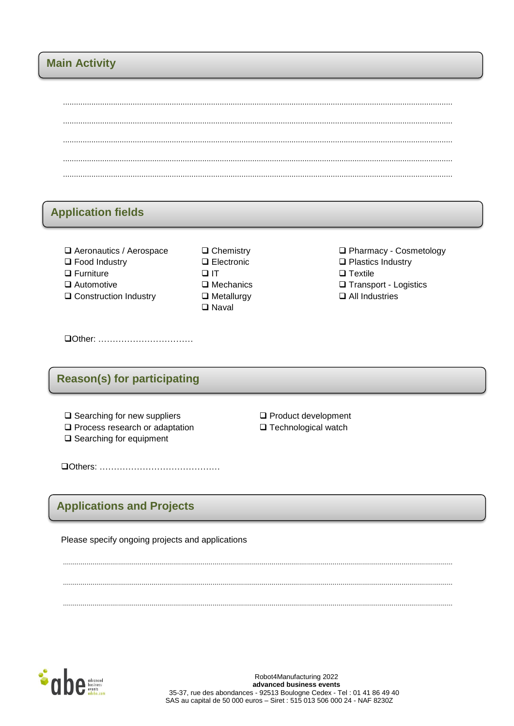#### **Main Activity**

#### **Application fields**

- Aeronautics / Aerospace
- $\Box$  Food Industry
- $\Box$  Furniture
- $\Box$  Automotive
- □ Construction Industry
- $\Box$  Chemistry  $\Box$  Electronic  $\Box$  $\Box$  Mechanics  $\Box$  Metallurgy  $\Box$  Naval

□ Pharmacy - Cosmetology  $\Box$  Plastics Industry  $\Box$  Textile □ Transport - Logistics  $\Box$  All Industries

### **Reason(s) for participating**

- $\Box$  Searching for new suppliers
- Process research or adaptation
- $\square$  Searching for equipment

 $\Box$  Product development □ Technological watch

### **Applications and Projects**

Please specify ongoing projects and applications

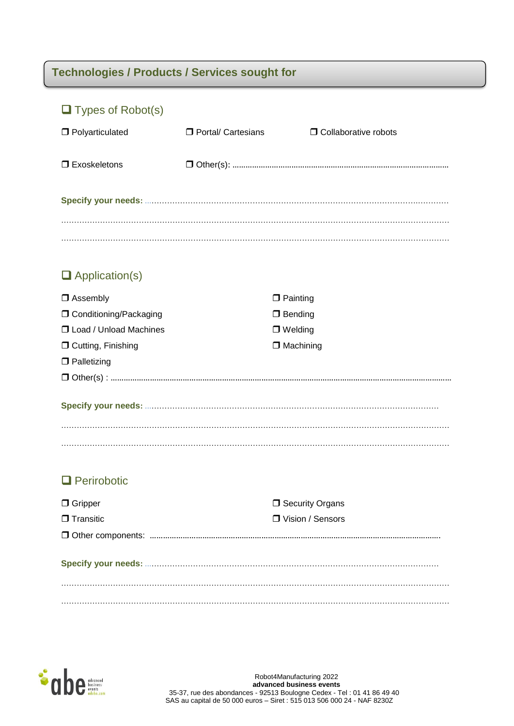## **Technologies / Products / Services sought for**

| $\Box$ Types of Robot(s)        |                      |                               |
|---------------------------------|----------------------|-------------------------------|
| Polyarticulated                 | □ Portal/ Cartesians | <b>O</b> Collaborative robots |
| $\Box$ Exoskeletons             |                      |                               |
|                                 |                      |                               |
|                                 |                      |                               |
|                                 |                      |                               |
| $\Box$ Application(s)           |                      |                               |
| $\Box$ Assembly                 |                      | $\Box$ Painting               |
| <b>O</b> Conditioning/Packaging |                      | $\Box$ Bending                |
| <b>J</b> Load / Unload Machines |                      | $\Box$ Welding                |
| □ Cutting, Finishing            |                      | $\Box$ Machining              |
| $\Box$ Palletizing              |                      |                               |
|                                 |                      |                               |
|                                 |                      |                               |
|                                 |                      |                               |
|                                 |                      |                               |
| $\Box$ Perirobotic              |                      |                               |
| $\Box$ Gripper                  |                      | □ Security Organs             |
| $\Box$ Transitic                |                      | □ Vision / Sensors            |
|                                 |                      |                               |
|                                 |                      |                               |
|                                 |                      |                               |
|                                 |                      |                               |